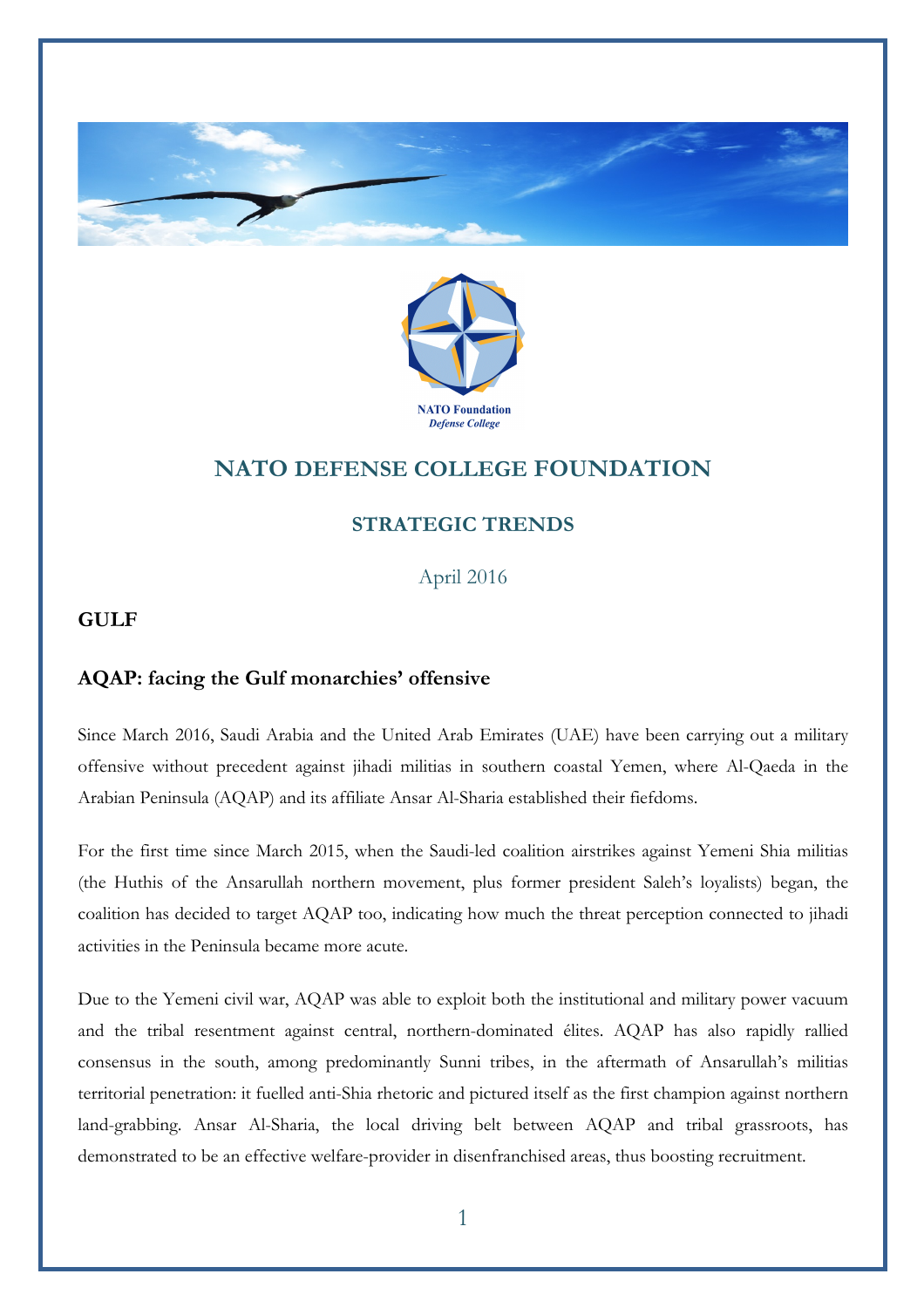



# **NATO DEFENSE COLLEGE FOUNDATION**

## **STRATEGIC TRENDS**

April 2016

## **GULF**

### **AQAP: facing the Gulf monarchies' offensive**

Since March 2016, Saudi Arabia and the United Arab Emirates (UAE) have been carrying out a military offensive without precedent against jihadi militias in southern coastal Yemen, where Al-Qaeda in the Arabian Peninsula (AQAP) and its affiliate Ansar Al-Sharia established their fiefdoms.

For the first time since March 2015, when the Saudi-led coalition airstrikes against Yemeni Shia militias (the Huthis of the Ansarullah northern movement, plus former president Saleh's loyalists) began, the coalition has decided to target AQAP too, indicating how much the threat perception connected to jihadi activities in the Peninsula became more acute.

Due to the Yemeni civil war, AQAP was able to exploit both the institutional and military power vacuum and the tribal resentment against central, northern-dominated élites. AQAP has also rapidly rallied consensus in the south, among predominantly Sunni tribes, in the aftermath of Ansarullah's militias territorial penetration: it fuelled anti-Shia rhetoric and pictured itself as the first champion against northern land-grabbing. Ansar Al-Sharia, the local driving belt between AQAP and tribal grassroots, has demonstrated to be an effective welfare-provider in disenfranchised areas, thus boosting recruitment.